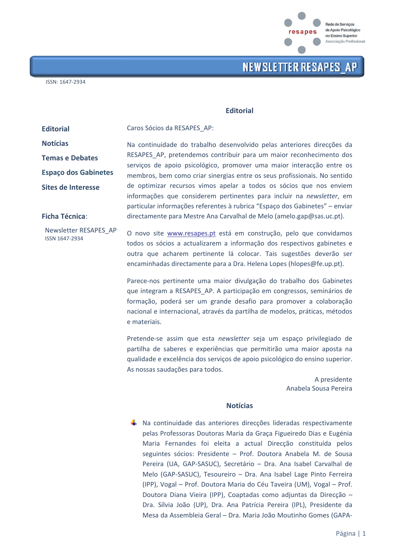

#### **Fditorial**

Caros Sócios da RESAPES AP:

**Editorial Notícias** 

**Temas e Debates** 

**Espaço dos Gabinetes** 

Sites de Interesse

**Ficha Técnica:** 

Newsletter RESAPES AP ISSN 1647-2934

Na continuidade do trabalho desenvolvido pelas anteriores direcções da RESAPES\_AP, pretendemos contribuir para um maior reconhecimento dos servicos de apoio psicológico, promover uma major interacção entre os membros, bem como criar sinergias entre os seus profissionais. No sentido de optimizar recursos vimos apelar a todos os sócios que nos enviem informações que considerem pertinentes para incluir na newsletter, em particular informações referentes à rubrica "Espaço dos Gabinetes" - enviar directamente para Mestre Ana Carvalhal de Melo (amelo.gap@sas.uc.pt).

O novo site www.resapes.pt está em construção, pelo que convidamos todos os sócios a actualizarem a informação dos respectivos gabinetes e outra que acharem pertinente lá colocar. Tais sugestões deverão ser encaminhadas directamente para a Dra. Helena Lopes (hlopes@fe.up.pt).

Parece-nos pertinente uma maior divulgação do trabalho dos Gabinetes que integram a RESAPES AP. A participação em congressos, seminários de formação, poderá ser um grande desafio para promover a colaboração nacional e internacional, através da partilha de modelos, práticas, métodos e materiais.

Pretende-se assim que esta *newsletter* seja um espaco privilegiado de partilha de saberes e experiências que permitirão uma maior aposta na qualidade e excelência dos serviços de apoio psicológico do ensino superior. As nossas saudações para todos.

> A presidente Anabela Sousa Pereira

### **Notícias**

 $\frac{1}{2}$  Na continuidade das anteriores direcções lideradas respectivamente pelas Professoras Doutoras Maria da Graça Figueiredo Dias e Eugénia Maria Fernandes foi eleita a actual Direcção constituída pelos seguintes sócios: Presidente - Prof. Doutora Anabela M. de Sousa Pereira (UA, GAP-SASUC), Secretário - Dra. Ana Isabel Carvalhal de Melo (GAP-SASUC), Tesoureiro - Dra. Ana Isabel Lage Pinto Ferreira (IPP), Vogal - Prof. Doutora Maria do Céu Taveira (UM), Vogal - Prof. Doutora Diana Vieira (IPP), Coaptadas como adjuntas da Direcção -Dra. Sílvia João (UP), Dra. Ana Patrícia Pereira (IPL), Presidente da Mesa da Assembleia Geral - Dra. Maria João Moutinho Gomes (GAPA-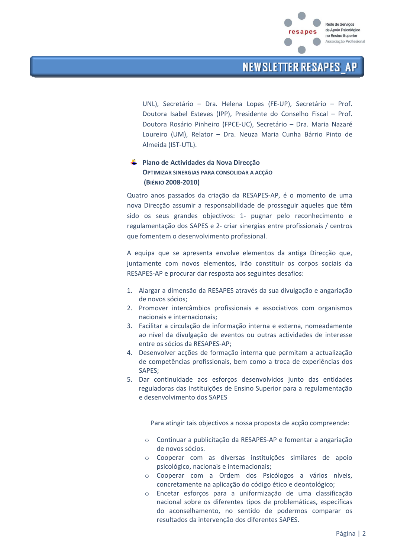

UNL), Secretário - Dra. Helena Lopes (FE-UP), Secretário - Prof. Doutora Isabel Esteves (IPP), Presidente do Conselho Fiscal - Prof. Doutora Rosário Pinheiro (FPCE-UC), Secretário - Dra. Maria Nazaré Loureiro (UM), Relator - Dra. Neuza Maria Cunha Bárrio Pinto de Almeida (IST-UTL).

### ← Plano de Actividades da Nova Direcção OPTIMIZAR SINERGIAS PARA CONSOLIDAR A ACCÃO (BIÉNIO 2008-2010)

Quatro anos passados da criação da RESAPES-AP, é o momento de uma nova Direcção assumir a responsabilidade de prosseguir aqueles que têm sido os seus grandes objectivos: 1- pugnar pelo reconhecimento e regulamentação dos SAPES e 2- criar sinergias entre profissionais / centros que fomentem o desenvolvimento profissional.

A equipa que se apresenta envolve elementos da antiga Direcção que, juntamente com novos elementos, irão constituir os corpos sociais da RESAPES-AP e procurar dar resposta aos seguintes desafios:

- 1. Alargar a dimensão da RESAPES através da sua divulgação e angariação de novos sócios;
- 2. Promover intercâmbios profissionais e associativos com organismos nacionais e internacionais;
- 3. Facilitar a circulação de informação interna e externa, nomeadamente ao nível da divulgação de eventos ou outras actividades de interesse entre os sócios da RESAPES-AP;
- 4. Desenvolver acções de formação interna que permitam a actualização de competências profissionais, bem como a troca de experiências dos SAPFS:
- 5. Dar continuidade aos esforços desenvolvidos junto das entidades reguladoras das Instituições de Ensino Superior para a regulamentação e desenvolvimento dos SAPES

Para atingir tais objectivos a nossa proposta de acção compreende:

- o Continuar a publicitação da RESAPES-AP e fomentar a angariação de novos sócios.
- o Cooperar com as diversas instituições similares de apoio psicológico, nacionais e internacionais;
- o Cooperar com a Ordem dos Psicólogos a vários níveis. concretamente na aplicação do código ético e deontológico;
- Encetar esforços para a uniformização de uma classificação  $\circ$ nacional sobre os diferentes tipos de problemáticas, específicas do aconselhamento, no sentido de podermos comparar os resultados da intervenção dos diferentes SAPES.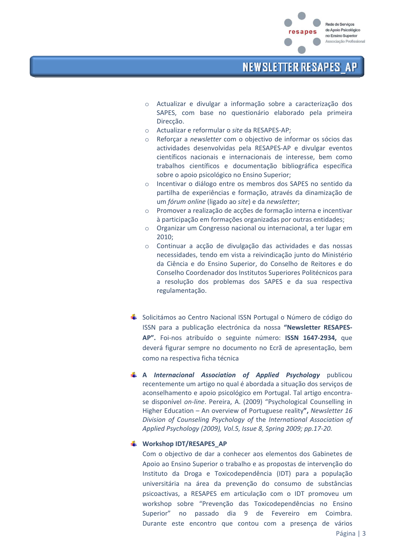

- Actualizar e divulgar a informação sobre a caracterização dos  $\circ$ SAPES, com base no questionário elaborado pela primeira Direcção.
- Actualizar e reformular o site da RESAPES-AP;  $\circ$
- Reforçar a newsletter com o objectivo de informar os sócios das  $\circ$ actividades desenvolvidas pela RESAPES-AP e divulgar eventos científicos nacionais e internacionais de interesse, bem como trabalhos científicos e documentação bibliográfica específica sobre o apoio psicológico no Ensino Superior;
- Incentivar o diálogo entre os membros dos SAPES no sentido da  $\circ$ partilha de experiências e formação, através da dinamização de um fórum online (ligado ao site) e da newsletter;
- Promover a realização de acções de formação interna e incentivar  $\cap$ à participação em formações organizadas por outras entidades;
- Organizar um Congresso nacional ou internacional, a ter lugar em  $\circ$  $2010:$
- Continuar a acção de divulgação das actividades e das nossas  $\circ$ necessidades, tendo em vista a reivindicação junto do Ministério da Ciência e do Ensino Superior, do Conselho de Reitores e do Conselho Coordenador dos Institutos Superiores Politécnicos para a resolução dos problemas dos SAPES e da sua respectiva regulamentação.
- ↓ Solicitámos ao Centro Nacional ISSN Portugal o Número de código do ISSN para a publicação electrónica da nossa "Newsletter RESAPES-AP". Foi-nos atribuído o seguinte número: ISSN 1647-2934. que deverá figurar sempre no documento no Ecrã de apresentação, bem como na respectiva ficha técnica
- $\downarrow$  A Internacional Association of Applied Psychology publicou recentemente um artigo no qual é abordada a situação dos serviços de aconselhamento e apoio psicológico em Portugal. Tal artigo encontrase disponível on-line. Pereira, A. (2009) "Psychological Counselling in Higher Education - An overview of Portuguese reality", Newsletter 16 Division of Counseling Psychology of the International Association of Applied Psychology (2009), Vol.5, Issue 8, Spring 2009; pp.17-20.

### Workshop IDT/RESAPES AP

Com o objectivo de dar a conhecer aos elementos dos Gabinetes de Apoio ao Ensino Superior o trabalho e as propostas de intervenção do Instituto da Droga e Toxicodependência (IDT) para a população universitária na área da prevenção do consumo de substâncias psicoactivas, a RESAPES em articulação com o IDT promoveu um workshop sobre "Prevenção das Toxicodependências no Ensino Superior" no passado dia 9 de Fevereiro em Coimbra. Durante este encontro que contou com a presença de vários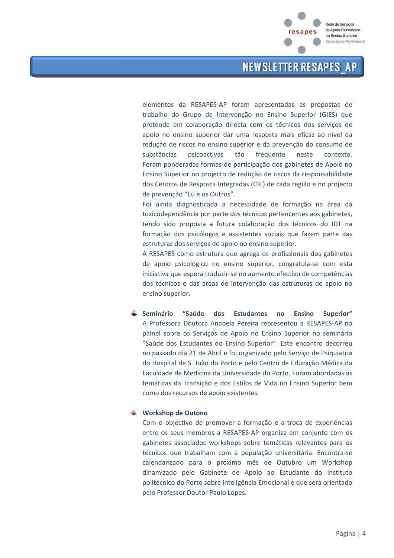

elementos da RESAPES-AP foram apresentadas as propostas de trabalho do Grupo de Intervenção no Ensino Superior (GIES) que pretende em colaboração directa com os técnicos dos serviços de apoio no ensino superior dar uma resposta mais eficaz ao nível da redução de riscos no ensino superior e da prevenção do consumo de substâncias psicoactivas tão frequente neste contexto. Foram ponderadas formas de participação dos gabinetes de Apoio no Ensino Superior no projecto de redução de riscos da responsabilidade dos Centros de Resposta Integradas (CRI) de cada região e no projecto de prevenção "Eu e os Outros".

Foi ainda diagnosticada a necessidade de formação na área da toxicodependência por parte dos técnicos pertencentes aos gabinetes, tendo sido proposta a futura colaboração dos técnicos do IDT na formação dos psicólogos e assistentes sociais que fazem parte das estruturas dos serviços de apoio no ensino superior.

A RESAPES como estrutura que agrega os profissionais dos gabinetes de apoio psicológico no ensino superior, congratula-se com esta iniciativa que espera traduzir-se no aumento efectivo de competências dos técnicos e das áreas de intervenção das estruturas de apoio no ensino superior.

**↓** Seminário "Saúde dos **Estudantes Ensino** Superior" no A Professora Doutora Anabela Pereira representou a RESAPES-AP no painel sobre os Serviços de Apoio no Ensino Superior no seminário "Saúde dos Estudantes do Ensino Superior". Este encontro decorreu no passado dia 21 de Abril e foi organizado pelo Serviço de Psiquiatria do Hospital de S. João do Porto e pelo Centro de Educação Médica da Faculdade de Medicina da Universidade do Porto. Foram abordadas as temáticas da Transição e dos Estilos de Vida no Ensino Superior bem como dos recursos de apoio existentes.

#### ₩ Workshop de Outono

Com o objectivo de promover a formação e a troca de experiências entre os seus membros a RESAPES-AP organiza em conjunto com os gabinetes associados workshops sobre temáticas relevantes para os técnicos que trabalham com a população universitária. Encontra-se calendarizado para o próximo mês de Outubro um Workshop dinamizado pelo Gabinete de Apoio ao Estudante do Instituto politécnico do Porto sobre Inteligência Emocional e que será orientado pelo Professor Doutor Paulo Lopes.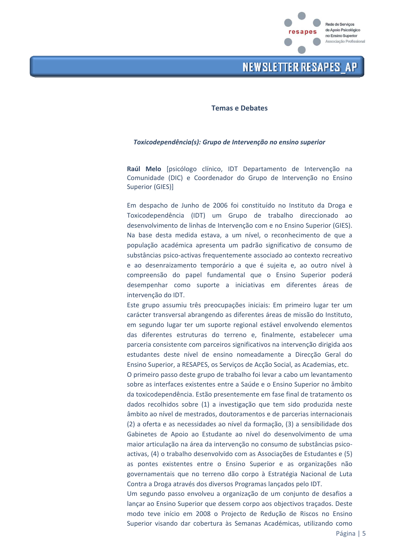

#### **Temas e Debates**

#### Toxicodependência(s): Grupo de Intervenção no ensino superior

Raúl Melo [psicólogo clínico, IDT Departamento de Intervenção na Comunidade (DIC) e Coordenador do Grupo de Intervenção no Ensino **Superior (GIES)]** 

Em despacho de Junho de 2006 foi constituído no Instituto da Droga e Toxicodependência (IDT) um Grupo de trabalho direccionado ao desenvolvimento de linhas de Intervenção com e no Ensino Superior (GIES). Na base desta medida estava, a um nível, o reconhecimento de que a população académica apresenta um padrão significativo de consumo de substâncias psico-activas frequentemente associado ao contexto recreativo e ao desenraizamento temporário a que é suieita e, ao outro nível à compreensão do papel fundamental que o Ensino Superior poderá desempenhar como suporte a iniciativas em diferentes áreas de intervenção do IDT.

Este grupo assumiu três preocupações iniciais: Em primeiro lugar ter um carácter transversal abrangendo as diferentes áreas de missão do Instituto, em segundo lugar ter um suporte regional estável envolvendo elementos das diferentes estruturas do terreno e, finalmente, estabelecer uma parceria consistente com parceiros significativos na intervenção dirigida aos estudantes deste nível de ensino nomeadamente a Direcção Geral do Ensino Superior, a RESAPES, os Serviços de Acção Social, as Academias, etc.

O primeiro passo deste grupo de trabalho foi levar a cabo um levantamento sobre as interfaces existentes entre a Saúde e o Ensino Superior no âmbito da toxicodependência. Estão presentemente em fase final de tratamento os dados recolhidos sobre (1) a investigação que tem sido produzida neste âmbito ao nível de mestrados, doutoramentos e de parcerias internacionais (2) a oferta e as necessidades ao nível da formação, (3) a sensibilidade dos Gabinetes de Apoio ao Estudante ao nível do desenvolvimento de uma maior articulação na área da intervenção no consumo de substâncias psicoactivas, (4) o trabalho desenvolvido com as Associações de Estudantes e (5) as pontes existentes entre o Ensino Superior e as organizações não governamentais que no terreno dão corpo à Estratégia Nacional de Luta Contra a Droga através dos diversos Programas lançados pelo IDT.

Um segundo passo envolveu a organização de um conjunto de desafios a lançar ao Ensino Superior que dessem corpo aos objectivos traçados. Deste modo teve início em 2008 o Projecto de Redução de Riscos no Ensino Superior visando dar cobertura às Semanas Académicas, utilizando como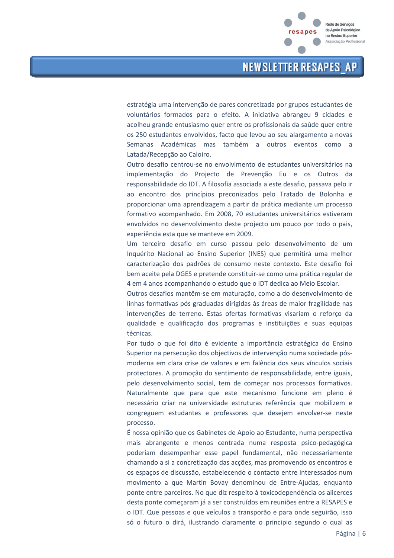

estratégia uma intervenção de pares concretizada por grupos estudantes de voluntários formados para o efeito. A iniciativa abrangeu 9 cidades e acolheu grande entusiasmo quer entre os profissionais da saúde quer entre os 250 estudantes envolvidos, facto que levou ao seu alargamento a novas Semanas Académicas mas também a outros eventos como a Latada/Recepção ao Caloiro.

Outro desafio centrou-se no envolvimento de estudantes universitários na implementação do Projecto de Prevenção Eu e os Outros da responsabilidade do IDT. A filosofia associada a este desafio, passava pelo ir ao encontro dos princípios preconizados pelo Tratado de Bolonha e proporcionar uma aprendizagem a partir da prática mediante um processo formativo acompanhado. Em 2008, 70 estudantes universitários estiveram envolvidos no desenvolvimento deste projecto um pouco por todo o pais, experiência esta que se manteve em 2009.

Um terceiro desafio em curso passou pelo desenvolvimento de um Inquérito Nacional ao Ensino Superior (INES) que permitirá uma melhor caracterização dos padrões de consumo neste contexto. Este desafio foi bem aceite pela DGES e pretende constituir-se como uma prática regular de 4 em 4 anos acompanhando o estudo que o IDT dedica ao Meio Escolar.

Outros desafios mantêm-se em maturação, como a do desenvolvimento de linhas formativas pós graduadas dirigidas às áreas de maior fragilidade nas intervenções de terreno. Estas ofertas formativas visariam o reforço da qualidade e qualificação dos programas e instituições e suas equipas técnicas.

Por tudo o que foi dito é evidente a importância estratégica do Ensino Superior na persecução dos objectivos de intervenção numa sociedade pósmoderna em clara crise de valores e em falência dos seus vínculos sociais protectores. A promoção do sentimento de responsabilidade, entre iguais, pelo desenvolvimento social, tem de começar nos processos formativos. Naturalmente que para que este mecanismo funcione em pleno é necessário criar na universidade estruturas referência que mobilizem e congreguem estudantes e professores que desejem envolver-se neste processo.

É nossa opinião que os Gabinetes de Apoio ao Estudante, numa perspectiva mais abrangente e menos centrada numa resposta psico-pedagógica poderiam desempenhar esse papel fundamental, não necessariamente chamando a si a concretização das acções, mas promovendo os encontros e os espaços de discussão, estabelecendo o contacto entre interessados num movimento a que Martin Bovay denominou de Entre-Ajudas, enquanto ponte entre parceiros. No que diz respeito à toxicodependência os alicerces desta ponte começaram já a ser construídos em reuniões entre a RESAPES e o IDT. Que pessoas e que veículos a transporão e para onde seguirão, isso só o futuro o dirá, ilustrando claramente o principio segundo o qual as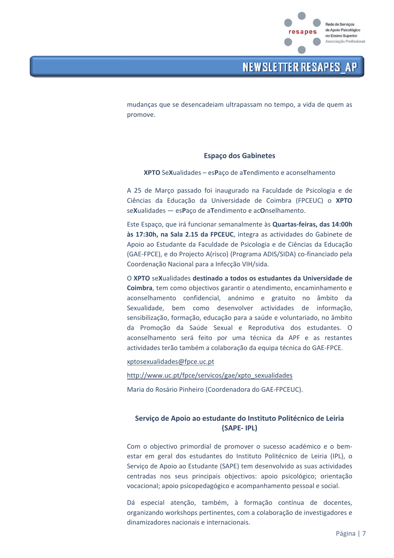

mudanças que se desencadeiam ultrapassam no tempo, a vida de quem as promove.

### **Espaço dos Gabinetes**

XPTO SeXualidades - esPaço de aTendimento e aconselhamento

A 25 de Março passado foi inaugurado na Faculdade de Psicologia e de Ciências da Educação da Universidade de Coimbra (FPCEUC) o XPTO seXualidades - esPaço de aTendimento e acOnselhamento.

Este Espaço, que irá funcionar semanalmente às Quartas-feiras, das 14:00h às 17:30h, na Sala 2.15 da FPCEUC, integra as actividades do Gabinete de Apoio ao Estudante da Faculdade de Psicologia e de Ciências da Educação (GAE-FPCE), e do Projecto A(risco) (Programa ADIS/SIDA) co-financiado pela Coordenação Nacional para a Infecção VIH/sida.

O XPTO seXualidades destinado a todos os estudantes da Universidade de Coimbra, tem como objectivos garantir o atendimento, encaminhamento e aconselhamento confidencial, anónimo e gratuito no âmbito da Sexualidade, bem como desenvolver actividades de informação, sensibilização, formação, educação para a saúde e voluntariado, no âmbito da Promoção da Saúde Sexual e Reprodutiva dos estudantes. O aconselhamento será feito por uma técnica da APF e as restantes actividades terão também a colaboração da equipa técnica do GAE-FPCE.

xptosexualidades@fpce.uc.pt

http://www.uc.pt/fpce/servicos/gae/xpto\_sexualidades

Maria do Rosário Pinheiro (Coordenadora do GAE-FPCEUC).

### Serviço de Apoio ao estudante do Instituto Politécnico de Leiria (SAPE-IPL)

Com o objectivo primordial de promover o sucesso académico e o bemestar em geral dos estudantes do Instituto Politécnico de Leiria (IPL), o Serviço de Apoio ao Estudante (SAPE) tem desenvolvido as suas actividades centradas nos seus principais objectivos: apoio psicológico; orientação vocacional; apoio psicopedagógico e acompanhamento pessoal e social.

Dá especial atenção, também, à formação contínua de docentes. organizando workshops pertinentes, com a colaboração de investigadores e dinamizadores nacionais e internacionais.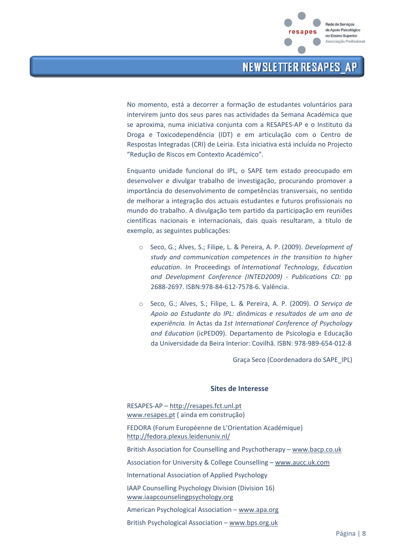

No momento, está a decorrer a formação de estudantes voluntários para intervirem junto dos seus pares nas actividades da Semana Académica que se aproxima, numa iniciativa conjunta com a RESAPES-AP e o Instituto da Droga e Toxicodependência (IDT) e em articulação com o Centro de Respostas Integradas (CRI) de Leiria. Esta iniciativa está incluída no Projecto "Redução de Riscos em Contexto Académico".

Enquanto unidade funcional do IPL, o SAPE tem estado preocupado em desenvolver e divulgar trabalho de investigação, procurando promover a importância do desenvolvimento de competências transversais, no sentido de melhorar a integração dos actuais estudantes e futuros profissionais no mundo do trabalho. A divulgação tem partido da participação em reuniões científicas nacionais e internacionais, dais quais resultaram, a título de exemplo, as seguintes publicações:

- Seco, G.; Alves, S.; Filipe, L. & Pereira, A. P. (2009). Development of study and communication competences in the transition to higher education. In Proceedings of International Technology, Education and Development Conference (INTED2009) - Publications CD: pp 2688-2697. ISBN:978-84-612-7578-6. Valência.
- ⊙ Seco, G.; Alves, S.; Filipe, L. & Pereira, A. P. (2009). O Serviço de Apoio ao Estudante do IPL: dinâmicas e resultados de um ano de experiência. In Actas da 1st International Conference of Psychology and Education (icPED09). Departamento de Psicologia e Educação da Universidade da Beira Interior: Covilhã. ISBN: 978-989-654-012-8

Graça Seco (Coordenadora do SAPE IPL)

#### Sites de Interesse

RESAPES-AP - http://resapes.fct.unl.pt www.resapes.pt (ainda em construção)

FEDORA (Forum Européenne de L'Orientation Académique) http://fedora.plexus.leidenuniv.nl/

British Association for Counselling and Psychotherapy - www.bacp.co.uk

Association for University & College Counselling - www.aucc.uk.com

International Association of Applied Psychology

IAAP Counselling Psychology Division (Division 16) www.iaapcounselingpsychology.org

American Psychological Association - www.apa.org

British Psychological Association - www.bps.org.uk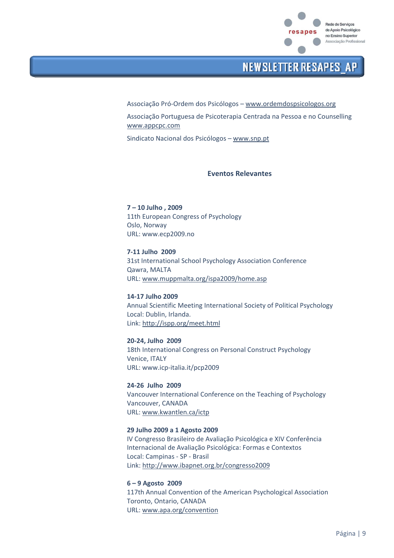

Associação Pró-Ordem dos Psicólogos - www.ordemdospsicologos.org

Associação Portuguesa de Psicoterapia Centrada na Pessoa e no Counselling www.appcpc.com

Sindicato Nacional dos Psicólogos - www.snp.pt

#### **Fventos Relevantes**

7-10 Julho . 2009 11th European Congress of Psychology Oslo, Norway URL: www.ecp2009.no

7-11 Julho 2009 31st International School Psychology Association Conference Qawra, MALTA URL: www.muppmalta.org/ispa2009/home.asp

14-17 Julho 2009 Annual Scientific Meeting International Society of Political Psychology Local: Dublin, Irlanda. Link: http://ispp.org/meet.html

20-24, Julho 2009 18th International Congress on Personal Construct Psychology Venice, ITALY URL: www.icp-italia.it/pcp2009

24-26 Julho 2009 Vancouver International Conference on the Teaching of Psychology Vancouver, CANADA URL: www.kwantlen.ca/ictp

#### 29 Julho 2009 a 1 Agosto 2009

IV Congresso Brasileiro de Avaliação Psicológica e XIV Conferência Internacional de Avaliação Psicológica: Formas e Contextos Local: Campinas - SP - Brasil Link: http://www.ibapnet.org.br/congresso2009

 $6 - 9$  Agosto 2009

117th Annual Convention of the American Psychological Association Toronto, Ontario, CANADA URL: www.apa.org/convention